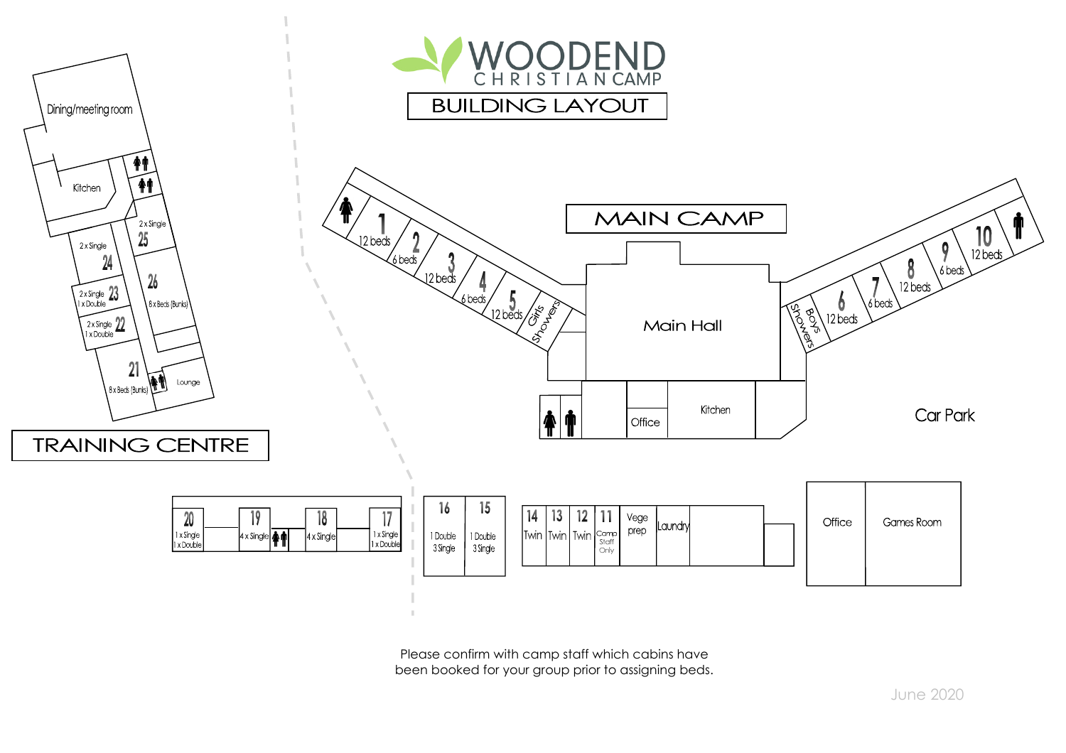

Please confirm with camp staff which cabins have been booked for your group prior to assigning beds.